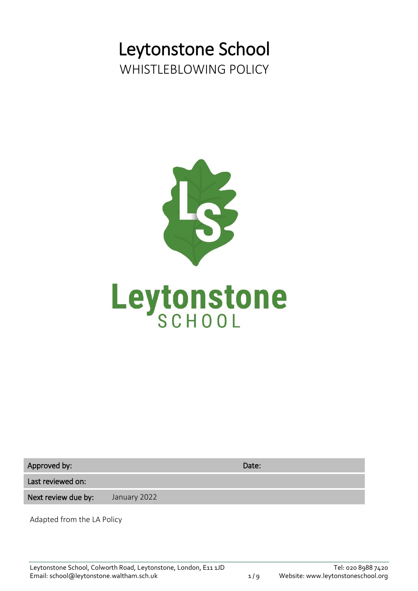# Leytonstone School WHISTLEBLOWING POLICY



Approved by: Date: Date: Date: Date: Date: Date: Date: Date: Date: Date: Date: Date: Date: Date: Date: Date: Date: Date: Date: Date: Date: Date: Date: Date: Date: Date: Date: Date: Date: Date: Date: Date: Date: Date: Date:

Last reviewed on:

Next review due by: January 2022

Adapted from the LA Policy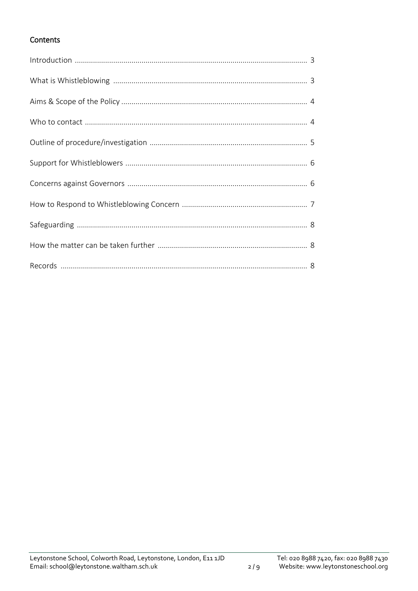# Contents

 $2/9$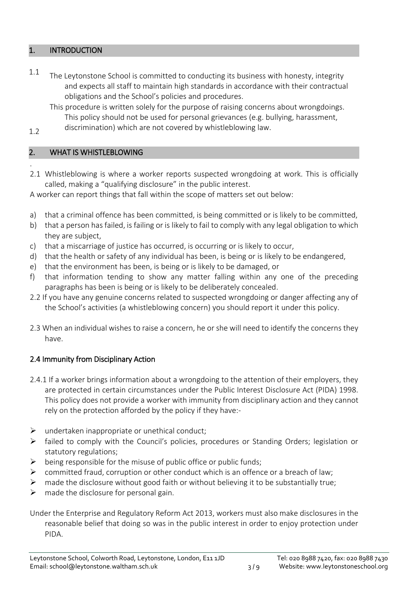#### 1. INTRODUCTION

- $1.1$  The Leytonstone School is committed to conducting its business with honesty, integrity and expects all staff to maintain high standards in accordance with their contractual obligations and the School's policies and procedures.
	- This procedure is written solely for the purpose of raising concerns about wrongdoings. This policy should not be used for personal grievances (e.g. bullying, harassment,
- 1.2 discrimination) which are not covered by whistleblowing law.

# 2. WHAT IS WHISTLEBLOWING

. 2.1 Whistleblowing is where a worker reports suspected wrongdoing at work. This is officially called, making a "qualifying disclosure" in the public interest.

A worker can report things that fall within the scope of matters set out below:

- a) that a criminal offence has been committed, is being committed or is likely to be committed,
- b) that a person has failed, is failing or is likely to fail to comply with any legal obligation to which they are subject,
- c) that a miscarriage of justice has occurred, is occurring or is likely to occur,
- d) that the health or safety of any individual has been, is being or is likely to be endangered,
- e) that the environment has been, is being or is likely to be damaged, or
- f) that information tending to show any matter falling within any one of the preceding paragraphs has been is being or is likely to be deliberately concealed.
- 2.2 If you have any genuine concerns related to suspected wrongdoing or danger affecting any of the School's activities (a whistleblowing concern) you should report it under this policy.
- 2.3 When an individual wishes to raise a concern, he or she will need to identify the concerns they have.

# 2.4 Immunity from Disciplinary Action

- 2.4.1 If a worker brings information about a wrongdoing to the attention of their employers, they are protected in certain circumstances under the Public Interest Disclosure Act (PIDA) 1998. This policy does not provide a worker with immunity from disciplinary action and they cannot rely on the protection afforded by the policy if they have:-
- $\triangleright$  undertaken inappropriate or unethical conduct:
- $\triangleright$  failed to comply with the Council's policies, procedures or Standing Orders; legislation or statutory regulations;
- $\triangleright$  being responsible for the misuse of public office or public funds;
- $\triangleright$  committed fraud, corruption or other conduct which is an offence or a breach of law;
- $\triangleright$  made the disclosure without good faith or without believing it to be substantially true;
- $\triangleright$  made the disclosure for personal gain.

Under the Enterprise and Regulatory Reform Act 2013, workers must also make disclosures in the reasonable belief that doing so was in the public interest in order to enjoy protection under PIDA.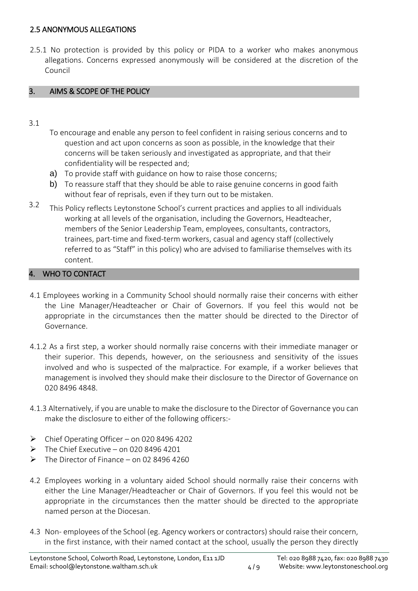### 2.5 ANONYMOUS ALLEGATIONS

2.5.1 No protection is provided by this policy or PIDA to a worker who makes anonymous allegations. Concerns expressed anonymously will be considered at the discretion of the Council

# 3. AIMS & SCOPE OF THE POLICY

- 3.1
- To encourage and enable any person to feel confident in raising serious concerns and to question and act upon concerns as soon as possible, in the knowledge that their concerns will be taken seriously and investigated as appropriate, and that their confidentiality will be respected and;
- a) To provide staff with guidance on how to raise those concerns;
- b) To reassure staff that they should be able to raise genuine concerns in good faith without fear of reprisals, even if they turn out to be mistaken.
- 3.2 This Policy reflects Leytonstone School's current practices and applies to all individuals working at all levels of the organisation, including the Governors, Headteacher, members of the Senior Leadership Team, employees, consultants, contractors, trainees, part-time and fixed-term workers, casual and agency staff (collectively referred to as "Staff" in this policy) who are advised to familiarise themselves with its content.

#### WHO TO CONTACT

- 4.1 Employees working in a Community School should normally raise their concerns with either the Line Manager/Headteacher or Chair of Governors. If you feel this would not be appropriate in the circumstances then the matter should be directed to the Director of Governance.
- 4.1.2 As a first step, a worker should normally raise concerns with their immediate manager or their superior. This depends, however, on the seriousness and sensitivity of the issues involved and who is suspected of the malpractice. For example, if a worker believes that management is involved they should make their disclosure to the Director of Governance on 020 8496 4848.
- 4.1.3 Alternatively, if you are unable to make the disclosure to the Director of Governance you can make the disclosure to either of the following officers:-
- $\triangleright$  Chief Operating Officer on 020 8496 4202
- $\triangleright$  The Chief Executive on 020 8496 4201
- $\triangleright$  The Director of Finance on 02 8496 4260
- 4.2 Employees working in a voluntary aided School should normally raise their concerns with either the Line Manager/Headteacher or Chair of Governors. If you feel this would not be appropriate in the circumstances then the matter should be directed to the appropriate named person at the Diocesan.
- 4.3 Non- employees of the School (eg. Agency workers or contractors) should raise their concern, in the first instance, with their named contact at the school, usually the person they directly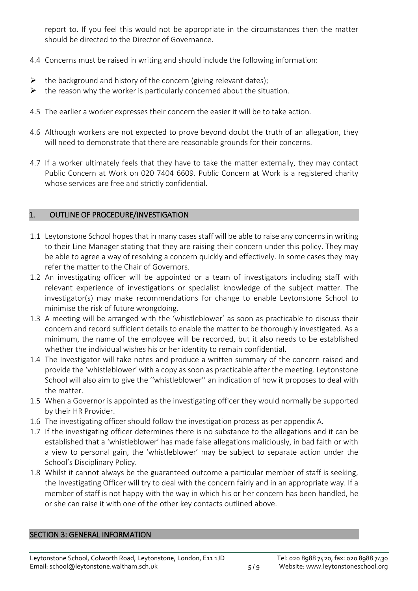report to. If you feel this would not be appropriate in the circumstances then the matter should be directed to the Director of Governance.

- 4.4 Concerns must be raised in writing and should include the following information:
- $\triangleright$  the background and history of the concern (giving relevant dates);
- $\triangleright$  the reason why the worker is particularly concerned about the situation.
- 4.5 The earlier a worker expresses their concern the easier it will be to take action.
- 4.6 Although workers are not expected to prove beyond doubt the truth of an allegation, they will need to demonstrate that there are reasonable grounds for their concerns.
- 4.7 If a worker ultimately feels that they have to take the matter externally, they may contact Public Concern at Work on 020 7404 6609. Public Concern at Work is a registered charity whose services are free and strictly confidential.

# 1. OUTLINE OF PROCEDURE/INVESTIGATION

- 1.1 Leytonstone School hopes that in many cases staff will be able to raise any concerns in writing to their Line Manager stating that they are raising their concern under this policy. They may be able to agree a way of resolving a concern quickly and effectively. In some cases they may refer the matter to the Chair of Governors.
- 1.2 An investigating officer will be appointed or a team of investigators including staff with relevant experience of investigations or specialist knowledge of the subject matter. The investigator(s) may make recommendations for change to enable Leytonstone School to minimise the risk of future wrongdoing.
- 1.3 A meeting will be arranged with the 'whistleblower' as soon as practicable to discuss their concern and record sufficient details to enable the matter to be thoroughly investigated. As a minimum, the name of the employee will be recorded, but it also needs to be established whether the individual wishes his or her identity to remain confidential.
- 1.4 The Investigator will take notes and produce a written summary of the concern raised and provide the 'whistleblower' with a copy as soon as practicable after the meeting. Leytonstone School will also aim to give the ''whistleblower'' an indication of how it proposes to deal with the matter.
- 1.5 When a Governor is appointed as the investigating officer they would normally be supported by their HR Provider.
- 1.6 The investigating officer should follow the investigation process as per appendix A.
- 1.7 If the investigating officer determines there is no substance to the allegations and it can be established that a 'whistleblower' has made false allegations maliciously, in bad faith or with a view to personal gain, the 'whistleblower' may be subject to separate action under the School's Disciplinary Policy.
- 1.8 Whilst it cannot always be the guaranteed outcome a particular member of staff is seeking, the Investigating Officer will try to deal with the concern fairly and in an appropriate way. If a member of staff is not happy with the way in which his or her concern has been handled, he or she can raise it with one of the other key contacts outlined above.

#### SECTION 3: GENERAL INFORMATION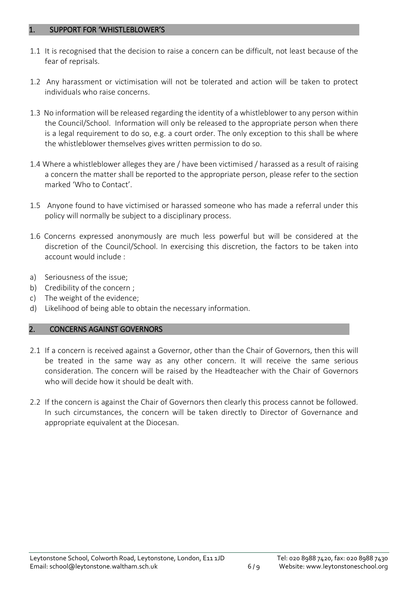#### 1. SUPPORT FOR 'WHISTLEBLOWER'S

- 1.1 It is recognised that the decision to raise a concern can be difficult, not least because of the fear of reprisals.
- 1.2 Any harassment or victimisation will not be tolerated and action will be taken to protect individuals who raise concerns.
- 1.3 No information will be released regarding the identity of a whistleblower to any person within the Council/School. Information will only be released to the appropriate person when there is a legal requirement to do so, e.g. a court order. The only exception to this shall be where the whistleblower themselves gives written permission to do so.
- 1.4 Where a whistleblower alleges they are / have been victimised / harassed as a result of raising a concern the matter shall be reported to the appropriate person, please refer to the section marked 'Who to Contact'.
- 1.5 Anyone found to have victimised or harassed someone who has made a referral under this policy will normally be subject to a disciplinary process.
- 1.6 Concerns expressed anonymously are much less powerful but will be considered at the discretion of the Council/School. In exercising this discretion, the factors to be taken into account would include :
- a) Seriousness of the issue;
- b) Credibility of the concern ;
- c) The weight of the evidence;
- d) Likelihood of being able to obtain the necessary information.

# 2. CONCERNS AGAINST GOVERNORS

- 2.1 If a concern is received against a Governor, other than the Chair of Governors, then this will be treated in the same way as any other concern. It will receive the same serious consideration. The concern will be raised by the Headteacher with the Chair of Governors who will decide how it should be dealt with.
- 2.2 If the concern is against the Chair of Governors then clearly this process cannot be followed. In such circumstances, the concern will be taken directly to Director of Governance and appropriate equivalent at the Diocesan.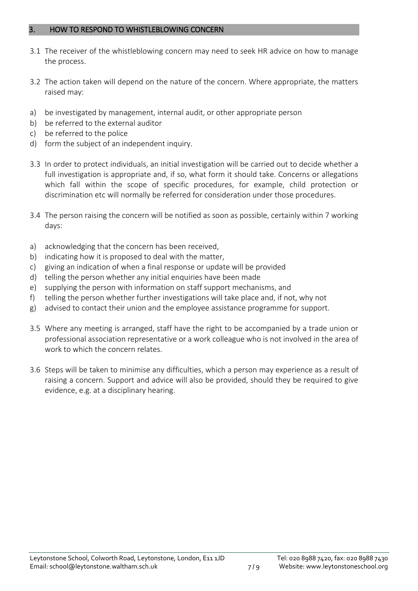#### 3. HOW TO RESPOND TO WHISTLEBLOWING CONCERN

- 3.1 The receiver of the whistleblowing concern may need to seek HR advice on how to manage the process.
- 3.2 The action taken will depend on the nature of the concern. Where appropriate, the matters raised may:
- a) be investigated by management, internal audit, or other appropriate person
- b) be referred to the external auditor
- c) be referred to the police
- d) form the subject of an independent inquiry.
- 3.3 In order to protect individuals, an initial investigation will be carried out to decide whether a full investigation is appropriate and, if so, what form it should take. Concerns or allegations which fall within the scope of specific procedures, for example, child protection or discrimination etc will normally be referred for consideration under those procedures.
- 3.4 The person raising the concern will be notified as soon as possible, certainly within 7 working days:
- a) acknowledging that the concern has been received,
- b) indicating how it is proposed to deal with the matter,
- c) giving an indication of when a final response or update will be provided
- d) telling the person whether any initial enquiries have been made
- e) supplying the person with information on staff support mechanisms, and
- f) telling the person whether further investigations will take place and, if not, why not
- g) advised to contact their union and the employee assistance programme for support.
- 3.5 Where any meeting is arranged, staff have the right to be accompanied by a trade union or professional association representative or a work colleague who is not involved in the area of work to which the concern relates.
- 3.6 Steps will be taken to minimise any difficulties, which a person may experience as a result of raising a concern. Support and advice will also be provided, should they be required to give evidence, e.g. at a disciplinary hearing.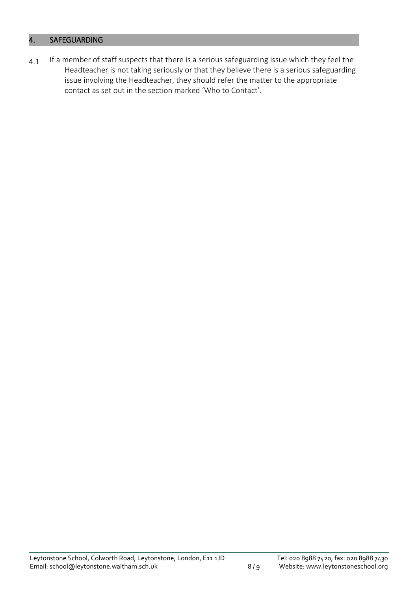# 4. SAFEGUARDING

 $4.1$  If a member of staff suspects that there is a serious safeguarding issue which they feel the Headteacher is not taking seriously or that they believe there is a serious safeguarding issue involving the Headteacher, they should refer the matter to the appropriate contact as set out in the section marked 'Who to Contact'.